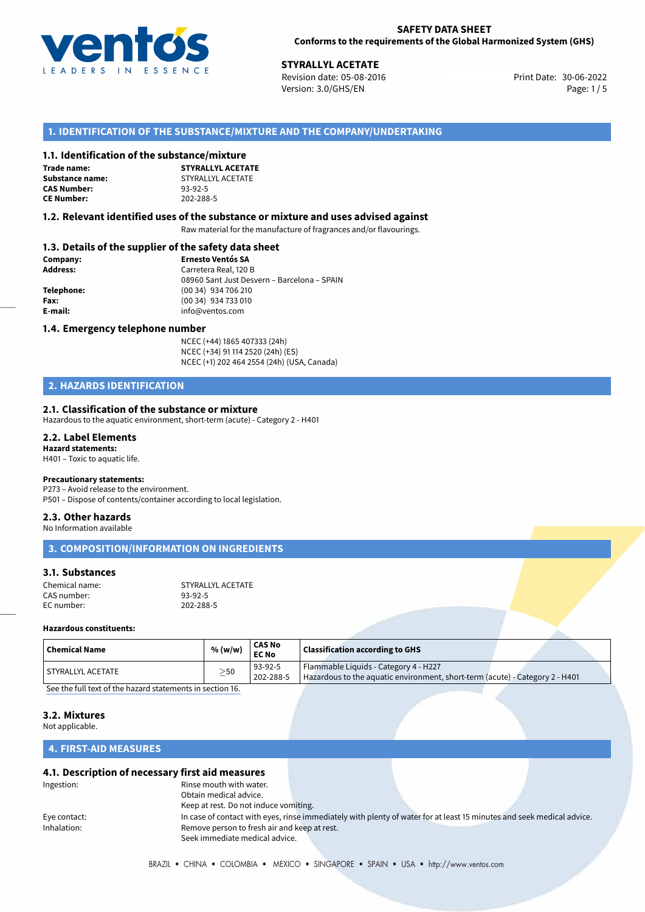

30-06-2022 **STYRALLYL ACETATE** Revision date: 05-08-2016 Print Date: Version: 3.0/GHS/EN Page: 1/5

#### **1. IDENTIFICATION OF THE SUBSTANCE/MIXTURE AND THE COMPANY/UNDERTAKING**

#### **1.1. Identification of the substance/mixture**

**Trade name: CAS Number: CE Number:** 202-288-5

**STYRALLYL ACETATE Substance name:** STYRALLYL ACETATE<br> **CAS Number:** 93-92-5

#### **1.2. Relevant identified uses of the substance or mixture and uses advised against**

Raw material for the manufacture of fragrances and/or flavourings.

#### **1.3. Details of the supplier of the safety data sheet**

| Company:   | <b>Ernesto Ventós SA</b>                    |
|------------|---------------------------------------------|
| Address:   | Carretera Real, 120 B                       |
|            | 08960 Sant Just Desvern - Barcelona - SPAIN |
| Telephone: | (00 34) 934 706 210                         |
| Fax:       | (00 34) 934 733 010                         |
| E-mail:    | info@ventos.com                             |
|            |                                             |

#### **1.4. Emergency telephone number**

NCEC (+44) 1865 407333 (24h) NCEC (+34) 91 114 2520 (24h) (ES) NCEC (+1) 202 464 2554 (24h) (USA, Canada)

## **2. HAZARDS IDENTIFICATION**

#### **2.1. Classification of the substance or mixture**

Hazardous to the aquatic environment, short-term (acute) - Category 2 - H401

#### **2.2. Label Elements Hazard statements:**

H401 – Toxic to aquatic life.

#### **Precautionary statements:**

P273 – Avoid release to the environment.

# P501 – Dispose of contents/container according to local legislation.

# **2.3. Other hazards**

No Information available

|  |  | 3. COMPOSITION/INFORMATION ON INGREDIENTS |
|--|--|-------------------------------------------|
|  |  |                                           |

#### **3.1. Substances**

| Chemical name: | STYRALLYL ACETATE |
|----------------|-------------------|
| CAS number:    | 93-92-5           |
| EC number:     | 202-288-5         |

#### **Hazardous constituents:**

| Flammable Liquids - Category 4 - H227<br>93-92-5<br>  STYRALLYL ACETATE<br>$\geq$ 50<br>Hazardous to the aquatic environment, short-term (acute) - Category 2 - H401<br>202-288-5 | <b>Chemical Name</b> | % (w/w) | <b>CAS No</b><br><b>EC No</b> | <b>Classification according to GHS</b> |  |
|-----------------------------------------------------------------------------------------------------------------------------------------------------------------------------------|----------------------|---------|-------------------------------|----------------------------------------|--|
|                                                                                                                                                                                   |                      |         |                               |                                        |  |

[See the full text of the hazard statements in section 16.](#page--1-0)

#### **3.2. Mixtures**

Not applicable.

#### **4. FIRST-AID MEASURES**

#### **4.1. Description of necessary first aid measures**

| Ingestion:   | Rinse mouth with water.                      |                                                                                                                       |  |
|--------------|----------------------------------------------|-----------------------------------------------------------------------------------------------------------------------|--|
|              | Obtain medical advice.                       |                                                                                                                       |  |
|              | Keep at rest. Do not induce vomiting.        |                                                                                                                       |  |
| Eye contact: |                                              | In case of contact with eyes, rinse immediately with plenty of water for at least 15 minutes and seek medical advice. |  |
| Inhalation:  | Remove person to fresh air and keep at rest. |                                                                                                                       |  |
|              | Seek immediate medical advice.               |                                                                                                                       |  |
|              |                                              |                                                                                                                       |  |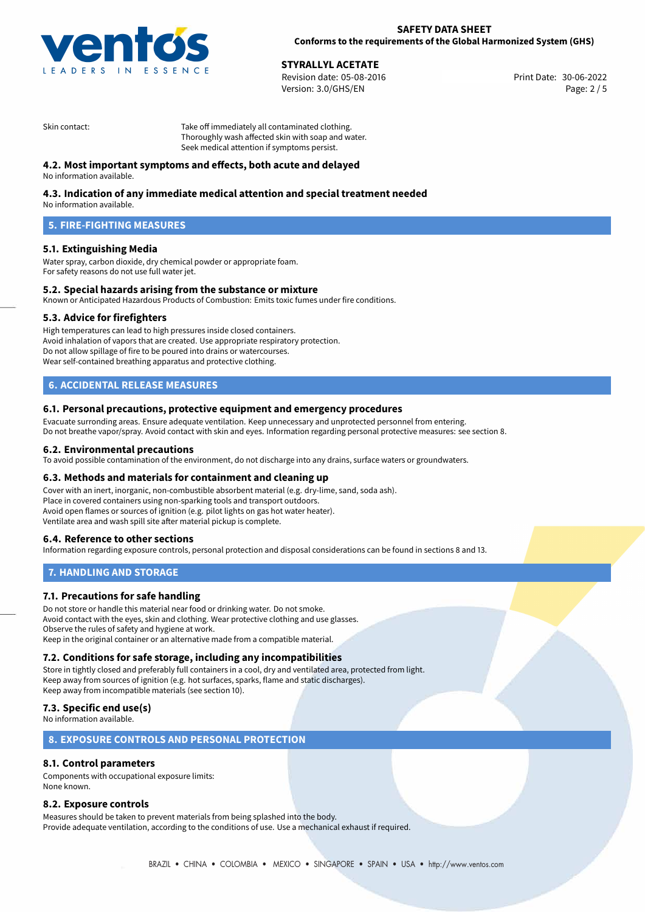

# **STYRALLYL ACETATE**<br>
Revision date: 05-08-2016<br> **Strain and Strain and Strain and Strain and Strain and Strain and Print Date: 30-06-2022**

Revision date: 05-08-2016 Version: 3.0/GHS/EN Page: 2 / 5

Skin contact: Take off immediately all contaminated clothing. Thoroughly wash affected skin with soap and water. Seek medical attention if symptoms persist.

### **4.2. Most important symptoms and effects, both acute and delayed**

No information available.

#### **4.3. Indication of any immediate medical attention and special treatment needed**

No information available.

# **5. FIRE-FIGHTING MEASURES**

#### **5.1. Extinguishing Media**

Water spray, carbon dioxide, dry chemical powder or appropriate foam. For safety reasons do not use full water jet.

#### **5.2. Special hazards arising from the substance or mixture**

Known or Anticipated Hazardous Products of Combustion: Emits toxic fumes under fire conditions.

#### **5.3. Advice for firefighters**

High temperatures can lead to high pressures inside closed containers. Avoid inhalation of vapors that are created. Use appropriate respiratory protection. Do not allow spillage of fire to be poured into drains or watercourses. Wear self-contained breathing apparatus and protective clothing.

# **6. ACCIDENTAL RELEASE MEASURES**

#### **6.1. Personal precautions, protective equipment and emergency procedures**

Evacuate surronding areas. Ensure adequate ventilation. Keep unnecessary and unprotected personnel from entering. Do not breathe vapor/spray. Avoid contact with skin and eyes. Information regarding personal protective measures: see section 8.

#### **6.2. Environmental precautions**

To avoid possible contamination of the environment, do not discharge into any drains, surface waters or groundwaters.

#### **6.3. Methods and materials for containment and cleaning up**

Cover with an inert, inorganic, non-combustible absorbent material (e.g. dry-lime, sand, soda ash). Place in covered containers using non-sparking tools and transport outdoors. Avoid open flames or sources of ignition (e.g. pilot lights on gas hot water heater). Ventilate area and wash spill site after material pickup is complete.

#### **6.4. Reference to other sections**

Information regarding exposure controls, personal protection and disposal considerations can be found in sections 8 and 13.

#### **7. HANDLING AND STORAGE**

#### **7.1. Precautions for safe handling**

Do not store or handle this material near food or drinking water. Do not smoke. Avoid contact with the eyes, skin and clothing. Wear protective clothing and use glasses. Observe the rules of safety and hygiene at work. Keep in the original container or an alternative made from a compatible material.

#### **7.2. Conditions for safe storage, including any incompatibilities**

Store in tightly closed and preferably full containers in a cool, dry and ventilated area, protected from light. Keep away from sources of ignition (e.g. hot surfaces, sparks, flame and static discharges). Keep away from incompatible materials (see section 10).

#### **7.3. Specific end use(s)**

No information available.

#### **8. EXPOSURE CONTROLS AND PERSONAL PROTECTION**

#### **8.1. Control parameters**

Components with occupational exposure limits: None known.

#### **8.2. Exposure controls**

Measures should be taken to prevent materials from being splashed into the body. Provide adequate ventilation, according to the conditions of use. Use a mechanical exhaust if required.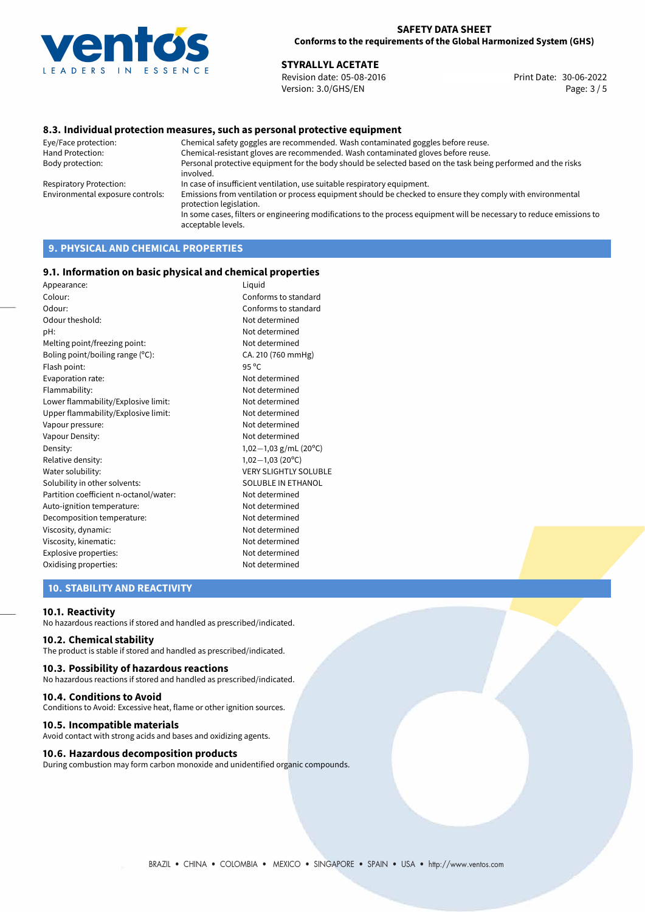

#### **SAFETY DATA SHEET Conforms to the requirements of the Global Harmonized System (GHS)**

# **STYRALLYL ACETATE**<br>
Revision date: 05-08-2016<br> **Strain and Strain and Strain and Strain Action** Print Date: 30-06-2022

Revision date: 05-08-2016 Version: 3.0/GHS/EN Page: 3 / 5

#### **8.3. Individual protection measures, such as personal protective equipment**

Eye/Face protection: Chemical safety goggles are recommended. Wash contaminated goggles before reuse. Chemical-resistant gloves are recommended. Wash contaminated gloves before reuse. Body protection: Personal protective equipment for the body should be selected based on the task being performed and the risks involved. Respiratory Protection: In case of insufficient ventilation, use suitable respiratory equipment. Environmental exposure controls: Emissions from ventilation or process equipment should be checked to ensure they comply with environmental protection legislation. In some cases, filters or engineering modifications to the process equipment will be necessary to reduce emissions to acceptable levels.

# **9. PHYSICAL AND CHEMICAL PROPERTIES**

#### **9.1. Information on basic physical and chemical properties**

| Appearance:                            | Liquid                       |
|----------------------------------------|------------------------------|
| Colour:                                | Conforms to standard         |
| Odour:                                 | Conforms to standard         |
| Odour theshold:                        | Not determined               |
| pH:                                    | Not determined               |
| Melting point/freezing point:          | Not determined               |
| Boling point/boiling range (°C):       | CA. 210 (760 mmHg)           |
| Flash point:                           | $95^{\circ}$ C               |
| Evaporation rate:                      | Not determined               |
| Flammability:                          | Not determined               |
| Lower flammability/Explosive limit:    | Not determined               |
| Upper flammability/Explosive limit:    | Not determined               |
| Vapour pressure:                       | Not determined               |
| Vapour Density:                        | Not determined               |
| Density:                               | $1,02-1,03$ g/mL (20°C)      |
| Relative density:                      | $1,02-1,03(20^{\circ}C)$     |
| Water solubility:                      | <b>VERY SLIGHTLY SOLUBLE</b> |
| Solubility in other solvents:          | SOLUBLE IN ETHANOL           |
| Partition coefficient n-octanol/water: | Not determined               |
| Auto-ignition temperature:             | Not determined               |
| Decomposition temperature:             | Not determined               |
| Viscosity, dynamic:                    | Not determined               |
| Viscosity, kinematic:                  | Not determined               |
| Explosive properties:                  | Not determined               |
| Oxidising properties:                  | Not determined               |

#### **10. STABILITY AND REACTIVITY**

#### **10.1. Reactivity**

No hazardous reactions if stored and handled as prescribed/indicated.

#### **10.2. Chemical stability**

The product is stable if stored and handled as prescribed/indicated.

#### **10.3. Possibility of hazardous reactions**

No hazardous reactions if stored and handled as prescribed/indicated.

#### **10.4. Conditions to Avoid**

Conditions to Avoid: Excessive heat, flame or other ignition sources.

#### **10.5. Incompatible materials**

Avoid contact with strong acids and bases and oxidizing agents.

#### **10.6. Hazardous decomposition products**

During combustion may form carbon monoxide and unidentified organic compounds.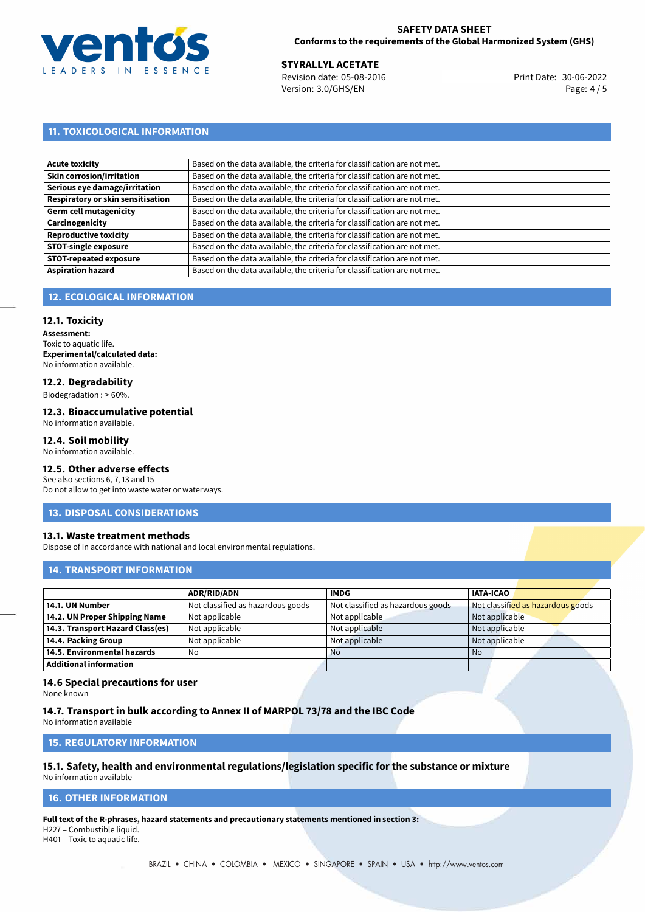

#### **SAFETY DATA SHEET Conforms to the requirements of the Global Harmonized System (GHS)**

30-06-2022 **STYRALLYL ACETATE** Revision date: 05-08-2016 Print Date: Version: 3.0/GHS/EN Page: 4 / 5

# **11. TOXICOLOGICAL INFORMATION**

| Acute toxicity                    | Based on the data available, the criteria for classification are not met. |
|-----------------------------------|---------------------------------------------------------------------------|
| Skin corrosion/irritation         | Based on the data available, the criteria for classification are not met. |
| Serious eye damage/irritation     | Based on the data available, the criteria for classification are not met. |
| Respiratory or skin sensitisation | Based on the data available, the criteria for classification are not met. |
| Germ cell mutagenicity            | Based on the data available, the criteria for classification are not met. |
| <b>Carcinogenicity</b>            | Based on the data available, the criteria for classification are not met. |
| Reproductive toxicity             | Based on the data available, the criteria for classification are not met. |
| <b>STOT-single exposure</b>       | Based on the data available, the criteria for classification are not met. |
| <b>STOT-repeated exposure</b>     | Based on the data available, the criteria for classification are not met. |
| <b>Aspiration hazard</b>          | Based on the data available, the criteria for classification are not met. |

### **12. ECOLOGICAL INFORMATION**

#### **12.1. Toxicity**

**Assessment:** Toxic to aquatic life. **Experimental/calculated data:** No information available.

#### **12.2. Degradability**

Biodegradation : > 60%.

#### **12.3. Bioaccumulative potential**

No information available.

#### **12.4. Soil mobility**

No information available.

# **12.5. Other adverse effects**

See also sections 6, 7, 13 and 15 Do not allow to get into waste water or waterways.

#### **13. DISPOSAL CONSIDERATIONS**

#### **13.1. Waste treatment methods**

Dispose of in accordance with national and local environmental regulations.

#### **14. TRANSPORT INFORMATION**

|                                  | <b>ADR/RID/ADN</b>                | <b>IMDG</b>                       | <b>IATA-ICAO</b>                  |
|----------------------------------|-----------------------------------|-----------------------------------|-----------------------------------|
| 14.1. UN Number                  | Not classified as hazardous goods | Not classified as hazardous goods | Not classified as hazardous goods |
| 14.2. UN Proper Shipping Name    | Not applicable                    | Not applicable                    | Not applicable                    |
| 14.3. Transport Hazard Class(es) | Not applicable                    | Not applicable                    | Not applicable                    |
| 14.4. Packing Group              | Not applicable                    | Not applicable                    | Not applicable                    |
| 14.5. Environmental hazards      | No                                | <b>No</b>                         | <b>No</b>                         |
| <b>Additional information</b>    |                                   |                                   |                                   |

#### **14.6 Special precautions for user**

None known

#### **14.7. Transport in bulk according to Annex II of MARPOL 73/78 and the IBC Code**

No information available

#### **15. REGULATORY INFORMATION**

#### **15.1. Safety, health and environmental regulations/legislation specific for the substance or mixture** No information available

### **16. OTHER INFORMATION**

**Full text of the R-phrases, hazard statements and precautionary statements mentioned in section 3:** H227 – Combustible liquid.

H401 – Toxic to aquatic life.